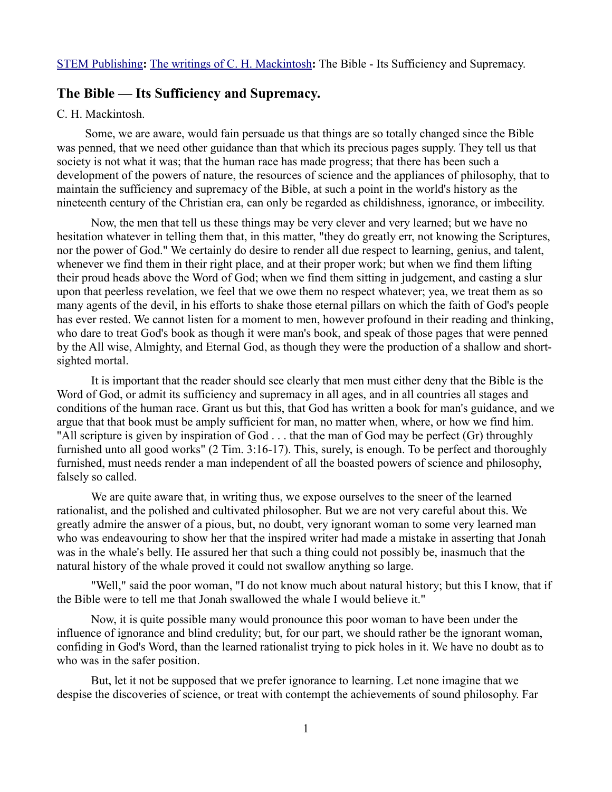## **The Bible — Its Sufficiency and Supremacy.**

## C. H. Mackintosh.

Some, we are aware, would fain persuade us that things are so totally changed since the Bible was penned, that we need other guidance than that which its precious pages supply. They tell us that society is not what it was; that the human race has made progress; that there has been such a development of the powers of nature, the resources of science and the appliances of philosophy, that to maintain the sufficiency and supremacy of the Bible, at such a point in the world's history as the nineteenth century of the Christian era, can only be regarded as childishness, ignorance, or imbecility.

Now, the men that tell us these things may be very clever and very learned; but we have no hesitation whatever in telling them that, in this matter, "they do greatly err, not knowing the Scriptures, nor the power of God." We certainly do desire to render all due respect to learning, genius, and talent, whenever we find them in their right place, and at their proper work; but when we find them lifting their proud heads above the Word of God; when we find them sitting in judgement, and casting a slur upon that peerless revelation, we feel that we owe them no respect whatever; yea, we treat them as so many agents of the devil, in his efforts to shake those eternal pillars on which the faith of God's people has ever rested. We cannot listen for a moment to men, however profound in their reading and thinking, who dare to treat God's book as though it were man's book, and speak of those pages that were penned by the All wise, Almighty, and Eternal God, as though they were the production of a shallow and shortsighted mortal.

It is important that the reader should see clearly that men must either deny that the Bible is the Word of God, or admit its sufficiency and supremacy in all ages, and in all countries all stages and conditions of the human race. Grant us but this, that God has written a book for man's guidance, and we argue that that book must be amply sufficient for man, no matter when, where, or how we find him. "All scripture is given by inspiration of God . . . that the man of God may be perfect (Gr) throughly furnished unto all good works" (2 Tim. 3:16-17). This, surely, is enough. To be perfect and thoroughly furnished, must needs render a man independent of all the boasted powers of science and philosophy, falsely so called.

We are quite aware that, in writing thus, we expose ourselves to the sneer of the learned rationalist, and the polished and cultivated philosopher. But we are not very careful about this. We greatly admire the answer of a pious, but, no doubt, very ignorant woman to some very learned man who was endeavouring to show her that the inspired writer had made a mistake in asserting that Jonah was in the whale's belly. He assured her that such a thing could not possibly be, inasmuch that the natural history of the whale proved it could not swallow anything so large.

"Well," said the poor woman, "I do not know much about natural history; but this I know, that if the Bible were to tell me that Jonah swallowed the whale I would believe it."

Now, it is quite possible many would pronounce this poor woman to have been under the influence of ignorance and blind credulity; but, for our part, we should rather be the ignorant woman, confiding in God's Word, than the learned rationalist trying to pick holes in it. We have no doubt as to who was in the safer position.

But, let it not be supposed that we prefer ignorance to learning. Let none imagine that we despise the discoveries of science, or treat with contempt the achievements of sound philosophy. Far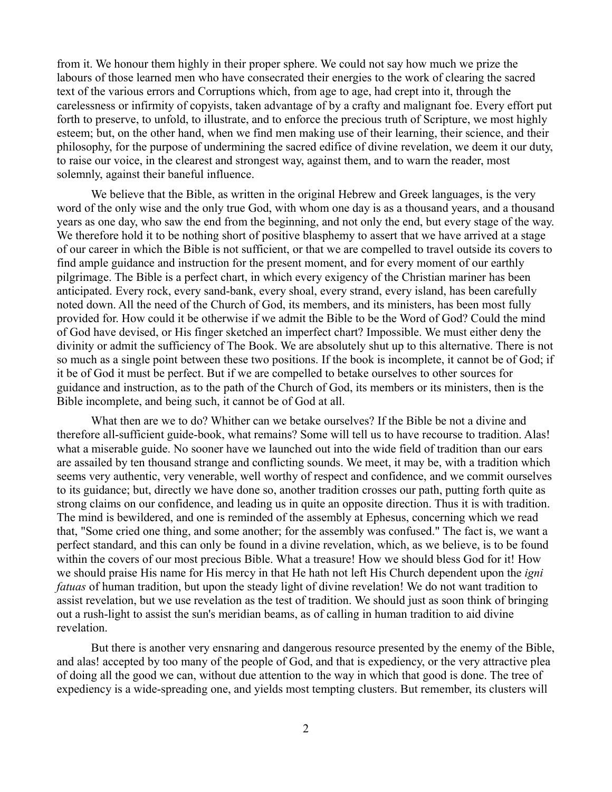from it. We honour them highly in their proper sphere. We could not say how much we prize the labours of those learned men who have consecrated their energies to the work of clearing the sacred text of the various errors and Corruptions which, from age to age, had crept into it, through the carelessness or infirmity of copyists, taken advantage of by a crafty and malignant foe. Every effort put forth to preserve, to unfold, to illustrate, and to enforce the precious truth of Scripture, we most highly esteem; but, on the other hand, when we find men making use of their learning, their science, and their philosophy, for the purpose of undermining the sacred edifice of divine revelation, we deem it our duty, to raise our voice, in the clearest and strongest way, against them, and to warn the reader, most solemnly, against their baneful influence.

We believe that the Bible, as written in the original Hebrew and Greek languages, is the very word of the only wise and the only true God, with whom one day is as a thousand years, and a thousand years as one day, who saw the end from the beginning, and not only the end, but every stage of the way. We therefore hold it to be nothing short of positive blasphemy to assert that we have arrived at a stage of our career in which the Bible is not sufficient, or that we are compelled to travel outside its covers to find ample guidance and instruction for the present moment, and for every moment of our earthly pilgrimage. The Bible is a perfect chart, in which every exigency of the Christian mariner has been anticipated. Every rock, every sand-bank, every shoal, every strand, every island, has been carefully noted down. All the need of the Church of God, its members, and its ministers, has been most fully provided for. How could it be otherwise if we admit the Bible to be the Word of God? Could the mind of God have devised, or His finger sketched an imperfect chart? Impossible. We must either deny the divinity or admit the sufficiency of The Book. We are absolutely shut up to this alternative. There is not so much as a single point between these two positions. If the book is incomplete, it cannot be of God; if it be of God it must be perfect. But if we are compelled to betake ourselves to other sources for guidance and instruction, as to the path of the Church of God, its members or its ministers, then is the Bible incomplete, and being such, it cannot be of God at all.

What then are we to do? Whither can we betake ourselves? If the Bible be not a divine and therefore all-sufficient guide-book, what remains? Some will tell us to have recourse to tradition. Alas! what a miserable guide. No sooner have we launched out into the wide field of tradition than our ears are assailed by ten thousand strange and conflicting sounds. We meet, it may be, with a tradition which seems very authentic, very venerable, well worthy of respect and confidence, and we commit ourselves to its guidance; but, directly we have done so, another tradition crosses our path, putting forth quite as strong claims on our confidence, and leading us in quite an opposite direction. Thus it is with tradition. The mind is bewildered, and one is reminded of the assembly at Ephesus, concerning which we read that, "Some cried one thing, and some another; for the assembly was confused." The fact is, we want a perfect standard, and this can only be found in a divine revelation, which, as we believe, is to be found within the covers of our most precious Bible. What a treasure! How we should bless God for it! How we should praise His name for His mercy in that He hath not left His Church dependent upon the *igni fatuas* of human tradition, but upon the steady light of divine revelation! We do not want tradition to assist revelation, but we use revelation as the test of tradition. We should just as soon think of bringing out a rush-light to assist the sun's meridian beams, as of calling in human tradition to aid divine revelation.

But there is another very ensnaring and dangerous resource presented by the enemy of the Bible, and alas! accepted by too many of the people of God, and that is expediency, or the very attractive plea of doing all the good we can, without due attention to the way in which that good is done. The tree of expediency is a wide-spreading one, and yields most tempting clusters. But remember, its clusters will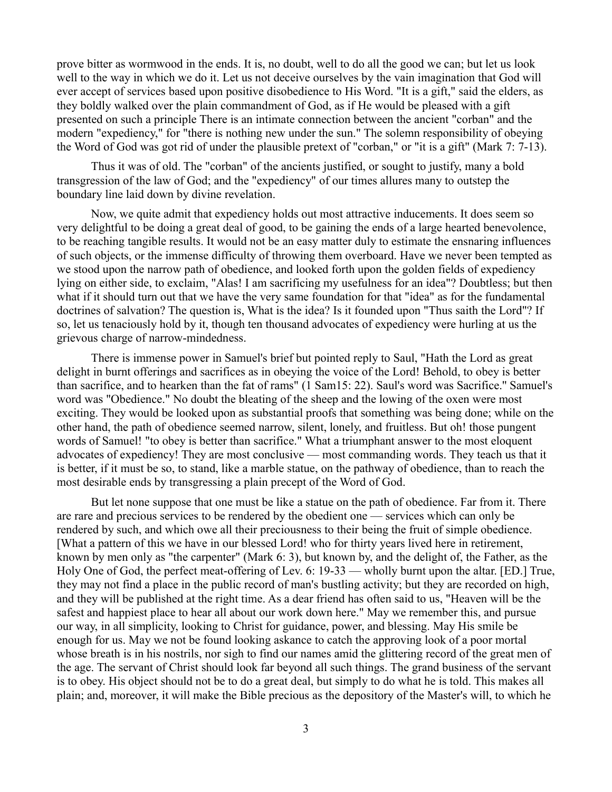prove bitter as wormwood in the ends. It is, no doubt, well to do all the good we can; but let us look well to the way in which we do it. Let us not deceive ourselves by the vain imagination that God will ever accept of services based upon positive disobedience to His Word. "It is a gift," said the elders, as they boldly walked over the plain commandment of God, as if He would be pleased with a gift presented on such a principle There is an intimate connection between the ancient "corban" and the modern "expediency," for "there is nothing new under the sun." The solemn responsibility of obeying the Word of God was got rid of under the plausible pretext of "corban," or "it is a gift" (Mark 7: 7-13).

Thus it was of old. The "corban" of the ancients justified, or sought to justify, many a bold transgression of the law of God; and the "expediency" of our times allures many to outstep the boundary line laid down by divine revelation.

Now, we quite admit that expediency holds out most attractive inducements. It does seem so very delightful to be doing a great deal of good, to be gaining the ends of a large hearted benevolence, to be reaching tangible results. It would not be an easy matter duly to estimate the ensnaring influences of such objects, or the immense difficulty of throwing them overboard. Have we never been tempted as we stood upon the narrow path of obedience, and looked forth upon the golden fields of expediency lying on either side, to exclaim, "Alas! I am sacrificing my usefulness for an idea"? Doubtless; but then what if it should turn out that we have the very same foundation for that "idea" as for the fundamental doctrines of salvation? The question is, What is the idea? Is it founded upon "Thus saith the Lord"? If so, let us tenaciously hold by it, though ten thousand advocates of expediency were hurling at us the grievous charge of narrow-mindedness.

There is immense power in Samuel's brief but pointed reply to Saul, "Hath the Lord as great delight in burnt offerings and sacrifices as in obeying the voice of the Lord! Behold, to obey is better than sacrifice, and to hearken than the fat of rams" (1 Sam15: 22). Saul's word was Sacrifice.'' Samuel's word was "Obedience." No doubt the bleating of the sheep and the lowing of the oxen were most exciting. They would be looked upon as substantial proofs that something was being done; while on the other hand, the path of obedience seemed narrow, silent, lonely, and fruitless. But oh! those pungent words of Samuel! "to obey is better than sacrifice." What a triumphant answer to the most eloquent advocates of expediency! They are most conclusive — most commanding words. They teach us that it is better, if it must be so, to stand, like a marble statue, on the pathway of obedience, than to reach the most desirable ends by transgressing a plain precept of the Word of God.

But let none suppose that one must be like a statue on the path of obedience. Far from it. There are rare and precious services to be rendered by the obedient one — services which can only be rendered by such, and which owe all their preciousness to their being the fruit of simple obedience. [What a pattern of this we have in our blessed Lord! who for thirty years lived here in retirement, known by men only as "the carpenter" (Mark 6: 3), but known by, and the delight of, the Father, as the Holy One of God, the perfect meat-offering of Lev. 6: 19-33 — wholly burnt upon the altar. [ED.] True, they may not find a place in the public record of man's bustling activity; but they are recorded on high, and they will be published at the right time. As a dear friend has often said to us, "Heaven will be the safest and happiest place to hear all about our work down here." May we remember this, and pursue our way, in all simplicity, looking to Christ for guidance, power, and blessing. May His smile be enough for us. May we not be found looking askance to catch the approving look of a poor mortal whose breath is in his nostrils, nor sigh to find our names amid the glittering record of the great men of the age. The servant of Christ should look far beyond all such things. The grand business of the servant is to obey. His object should not be to do a great deal, but simply to do what he is told. This makes all plain; and, moreover, it will make the Bible precious as the depository of the Master's will, to which he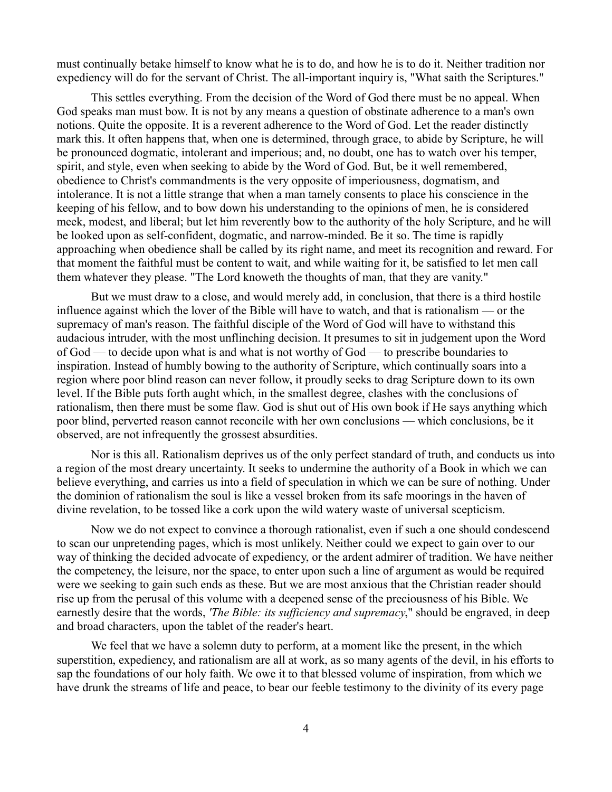must continually betake himself to know what he is to do, and how he is to do it. Neither tradition nor expediency will do for the servant of Christ. The all-important inquiry is, "What saith the Scriptures."

This settles everything. From the decision of the Word of God there must be no appeal. When God speaks man must bow. It is not by any means a question of obstinate adherence to a man's own notions. Quite the opposite. It is a reverent adherence to the Word of God. Let the reader distinctly mark this. It often happens that, when one is determined, through grace, to abide by Scripture, he will be pronounced dogmatic, intolerant and imperious; and, no doubt, one has to watch over his temper, spirit, and style, even when seeking to abide by the Word of God. But, be it well remembered, obedience to Christ's commandments is the very opposite of imperiousness, dogmatism, and intolerance. It is not a little strange that when a man tamely consents to place his conscience in the keeping of his fellow, and to bow down his understanding to the opinions of men, he is considered meek, modest, and liberal; but let him reverently bow to the authority of the holy Scripture, and he will be looked upon as self-confident, dogmatic, and narrow-minded. Be it so. The time is rapidly approaching when obedience shall be called by its right name, and meet its recognition and reward. For that moment the faithful must be content to wait, and while waiting for it, be satisfied to let men call them whatever they please. "The Lord knoweth the thoughts of man, that they are vanity."

But we must draw to a close, and would merely add, in conclusion, that there is a third hostile influence against which the lover of the Bible will have to watch, and that is rationalism — or the supremacy of man's reason. The faithful disciple of the Word of God will have to withstand this audacious intruder, with the most unflinching decision. It presumes to sit in judgement upon the Word of God — to decide upon what is and what is not worthy of God — to prescribe boundaries to inspiration. Instead of humbly bowing to the authority of Scripture, which continually soars into a region where poor blind reason can never follow, it proudly seeks to drag Scripture down to its own level. If the Bible puts forth aught which, in the smallest degree, clashes with the conclusions of rationalism, then there must be some flaw. God is shut out of His own book if He says anything which poor blind, perverted reason cannot reconcile with her own conclusions — which conclusions, be it observed, are not infrequently the grossest absurdities.

Nor is this all. Rationalism deprives us of the only perfect standard of truth, and conducts us into a region of the most dreary uncertainty. It seeks to undermine the authority of a Book in which we can believe everything, and carries us into a field of speculation in which we can be sure of nothing. Under the dominion of rationalism the soul is like a vessel broken from its safe moorings in the haven of divine revelation, to be tossed like a cork upon the wild watery waste of universal scepticism.

Now we do not expect to convince a thorough rationalist, even if such a one should condescend to scan our unpretending pages, which is most unlikely. Neither could we expect to gain over to our way of thinking the decided advocate of expediency, or the ardent admirer of tradition. We have neither the competency, the leisure, nor the space, to enter upon such a line of argument as would be required were we seeking to gain such ends as these. But we are most anxious that the Christian reader should rise up from the perusal of this volume with a deepened sense of the preciousness of his Bible. We earnestly desire that the words, *'The Bible: its sufficiency and supremacy*," should be engraved, in deep and broad characters, upon the tablet of the reader's heart.

We feel that we have a solemn duty to perform, at a moment like the present, in the which superstition, expediency, and rationalism are all at work, as so many agents of the devil, in his efforts to sap the foundations of our holy faith. We owe it to that blessed volume of inspiration, from which we have drunk the streams of life and peace, to bear our feeble testimony to the divinity of its every page